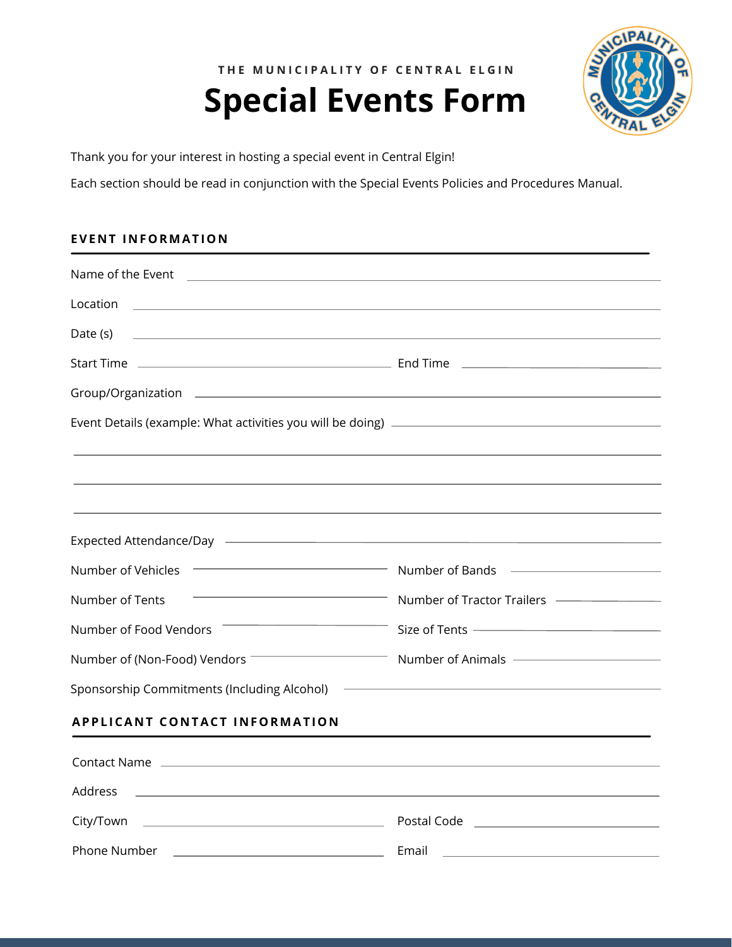THE MUNICIPALITY OF CENTRAL ELGIN

# **Special Events Form**



Thank you for your interest in hosting a special event in Central Elgin!

Each section should be read in conjunction with the Special Events Policies and Procedures Manual.

# **EVENT INFORMATION**

| Name of the Event <b>contract to the Contract of the Event Contract of the Contract of the Contract of the Contract of the Contract of the Contract of the Contract of the Contract of the Contract of the Contract of the Contr</b>      |                                                      |
|-------------------------------------------------------------------------------------------------------------------------------------------------------------------------------------------------------------------------------------------|------------------------------------------------------|
| Location<br><u> 1989 - Johann Harry Harry Harry Harry Harry Harry Harry Harry Harry Harry Harry Harry Harry Harry Harry Harry</u>                                                                                                         |                                                      |
| Date (s)<br>the control of the control of the control of the control of the control of the control of the control of the control of the control of the control of the control of the control of the control of the control of the control |                                                      |
|                                                                                                                                                                                                                                           |                                                      |
|                                                                                                                                                                                                                                           |                                                      |
|                                                                                                                                                                                                                                           |                                                      |
|                                                                                                                                                                                                                                           |                                                      |
|                                                                                                                                                                                                                                           |                                                      |
|                                                                                                                                                                                                                                           |                                                      |
|                                                                                                                                                                                                                                           |                                                      |
| Number of Vehicles                                                                                                                                                                                                                        | Number of Bands <b>Communication</b> Number of Bands |
| Number of Tents                                                                                                                                                                                                                           | Number of Tractor Trailers ————————                  |
| <u> 1989 - Johann Stein, mars ar breithinn ar chuid ann an t-</u><br>Number of Food Vendors                                                                                                                                               | Size of Tents ————————————————                       |
|                                                                                                                                                                                                                                           | Number of Animals ————————————                       |
| Sponsorship Commitments (Including Alcohol)                                                                                                                                                                                               |                                                      |
| <b>APPLICANT CONTACT INFORMATION</b>                                                                                                                                                                                                      |                                                      |
|                                                                                                                                                                                                                                           |                                                      |
| Address<br>the control of the control of the control of the control of the control of the control of                                                                                                                                      |                                                      |
|                                                                                                                                                                                                                                           | Postal Code <u>_____________________________</u>     |
| Phone Number                                                                                                                                                                                                                              | Email                                                |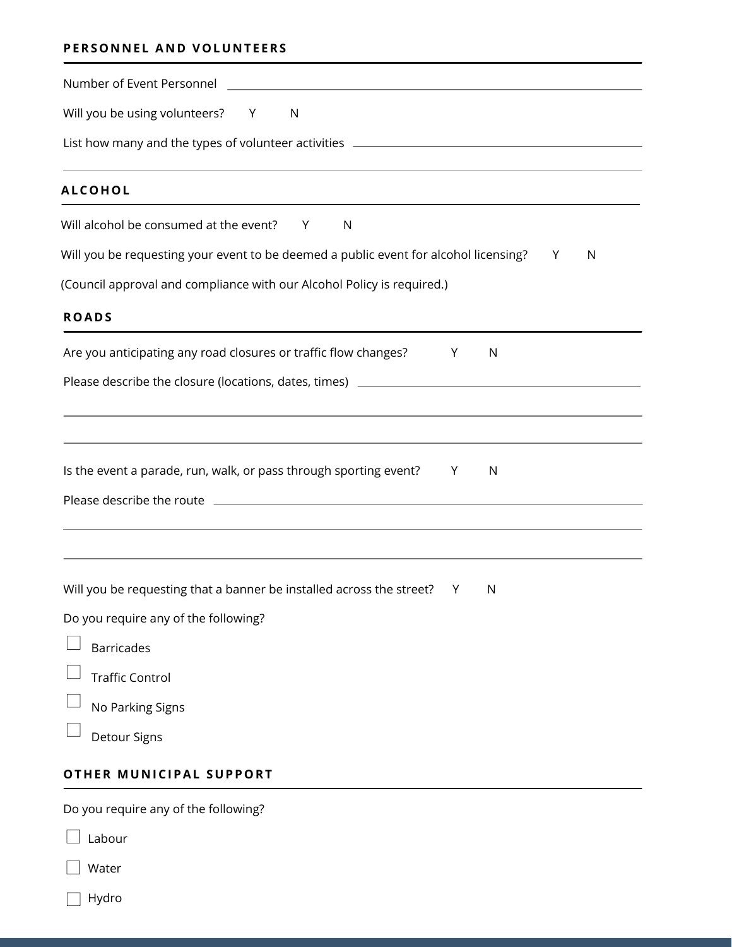# **PERSO N N E L A N D VOLU N T E ERS**

| Will you be using volunteers? Y<br><sup>N</sup>                                      |     |              |   |   |
|--------------------------------------------------------------------------------------|-----|--------------|---|---|
| List how many and the types of volunteer activities ____________________________     |     |              |   |   |
| <b>ALCOHOL</b>                                                                       |     |              |   |   |
| Will alcohol be consumed at the event? Y<br>N                                        |     |              |   |   |
| Will you be requesting your event to be deemed a public event for alcohol licensing? |     |              | Y | N |
| (Council approval and compliance with our Alcohol Policy is required.)               |     |              |   |   |
| <b>ROADS</b>                                                                         |     |              |   |   |
| Are you anticipating any road closures or traffic flow changes?                      | Y   | $\mathsf{N}$ |   |   |
| Please describe the closure (locations, dates, times) ___________________________    |     |              |   |   |
|                                                                                      |     |              |   |   |
| Is the event a parade, run, walk, or pass through sporting event?                    | Y - | N            |   |   |
|                                                                                      |     |              |   |   |
|                                                                                      |     |              |   |   |
| Will you be requesting that a banner be installed across the street?                 | Y   | N            |   |   |
| Do you require any of the following?                                                 |     |              |   |   |
| <b>Barricades</b>                                                                    |     |              |   |   |
| <b>Traffic Control</b>                                                               |     |              |   |   |
| No Parking Signs                                                                     |     |              |   |   |
| Detour Signs                                                                         |     |              |   |   |
|                                                                                      |     |              |   |   |

# **OTHER MU N ICIPAL SUPPORT**

Do you require any of the following?

| Labour |
|--------|

□ Water

| var |
|-----|
|-----|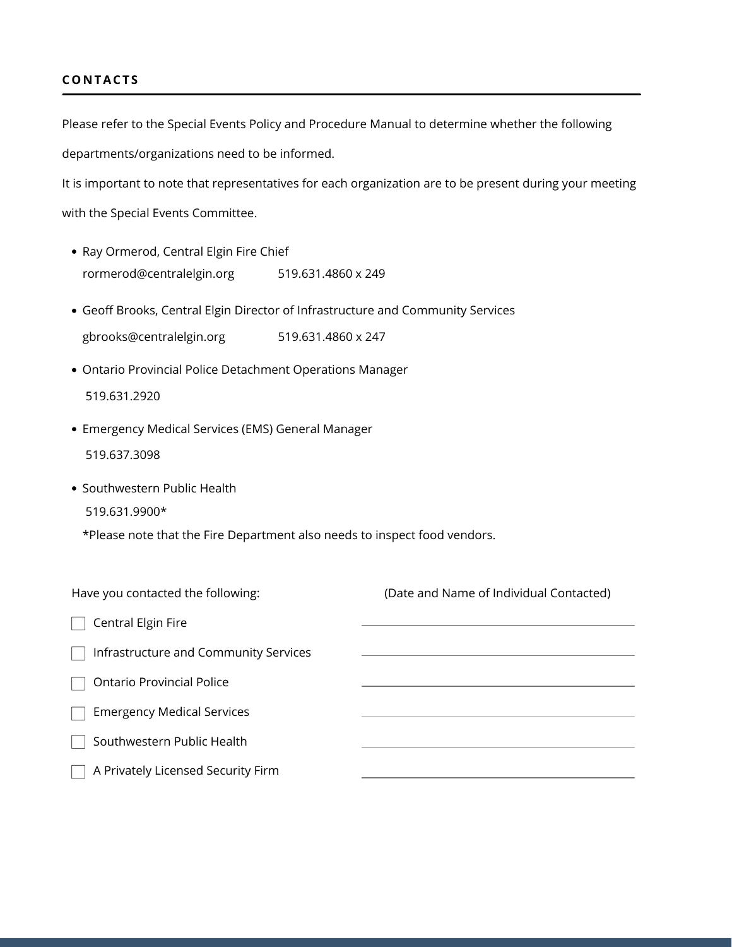#### **CO N TACT S**

Please refer to the Special Events Policy and Procedure Manual to determine whether the following departments/organizations need to be informed.

It is important to note that representatives for each organization are to be present during your meeting

with the Special Events Committee.

- Ray Ormerod, Central Elgin Fire Chief rormerod@centralelgin.org 519.631.4860 x 249
- Geoff Brooks, Central Elgin Director of Infrastructure and Community Services gbrooks@centralelgin.org 519.631.4860 x 247
- Ontario Provincial Police Detachment Operations Manager 519.631.2920
- Emergency Medical Services (EMS) General Manager 519.637.3098
- Southwestern Public Health

519.631.9900\*

\*Please note that the Fire Department also needs to inspect food vendors.

| Have you contacted the following:     | (Date and Name of Individual Contacted) |
|---------------------------------------|-----------------------------------------|
| Central Elgin Fire                    |                                         |
| Infrastructure and Community Services |                                         |
| <b>Ontario Provincial Police</b>      |                                         |
| <b>Emergency Medical Services</b>     |                                         |
| Southwestern Public Health            |                                         |
| A Privately Licensed Security Firm    |                                         |